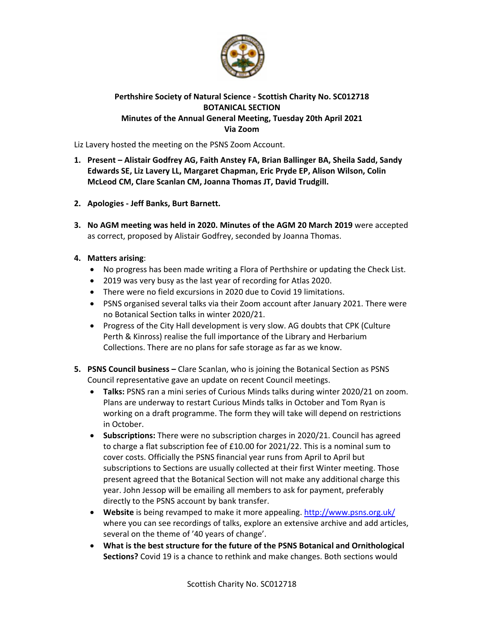

## **Perthshire Society of Natural Science ‐ Scottish Charity No. SC012718 BOTANICAL SECTION Minutes of the Annual General Meeting, Tuesday 20th April 2021 Via Zoom**

Liz Lavery hosted the meeting on the PSNS Zoom Account.

- **1. Present Alistair Godfrey AG, Faith Anstey FA, Brian Ballinger BA, Sheila Sadd, Sandy Edwards SE, Liz Lavery LL, Margaret Chapman, Eric Pryde EP, Alison Wilson, Colin McLeod CM, Clare Scanlan CM, Joanna Thomas JT, David Trudgill.**
- **2. Apologies ‐ Jeff Banks, Burt Barnett.**
- **3. No AGM meeting was held in 2020. Minutes of the AGM 20 March 2019** were accepted as correct, proposed by Alistair Godfrey, seconded by Joanna Thomas.
- **4. Matters arising**:
	- No progress has been made writing a Flora of Perthshire or updating the Check List.
	- 2019 was very busy as the last year of recording for Atlas 2020.
	- There were no field excursions in 2020 due to Covid 19 limitations.
	- PSNS organised several talks via their Zoom account after January 2021. There were no Botanical Section talks in winter 2020/21.
	- Progress of the City Hall development is very slow. AG doubts that CPK (Culture Perth & Kinross) realise the full importance of the Library and Herbarium Collections. There are no plans for safe storage as far as we know.
- **5. PSNS Council business –** Clare Scanlan, who is joining the Botanical Section as PSNS Council representative gave an update on recent Council meetings.
	- **Talks:** PSNS ran a mini series of Curious Minds talks during winter 2020/21 on zoom. Plans are underway to restart Curious Minds talks in October and Tom Ryan is working on a draft programme. The form they will take will depend on restrictions in October.
	- **Subscriptions:** There were no subscription charges in 2020/21. Council has agreed to charge a flat subscription fee of £10.00 for 2021/22. This is a nominal sum to cover costs. Officially the PSNS financial year runs from April to April but subscriptions to Sections are usually collected at their first Winter meeting. Those present agreed that the Botanical Section will not make any additional charge this year. John Jessop will be emailing all members to ask for payment, preferably directly to the PSNS account by bank transfer.
	- **Website** is being revamped to make it more appealing. http://www.psns.org.uk/ where you can see recordings of talks, explore an extensive archive and add articles, several on the theme of '40 years of change'.
	- **What is the best structure for the future of the PSNS Botanical and Ornithological Sections?** Covid 19 is a chance to rethink and make changes. Both sections would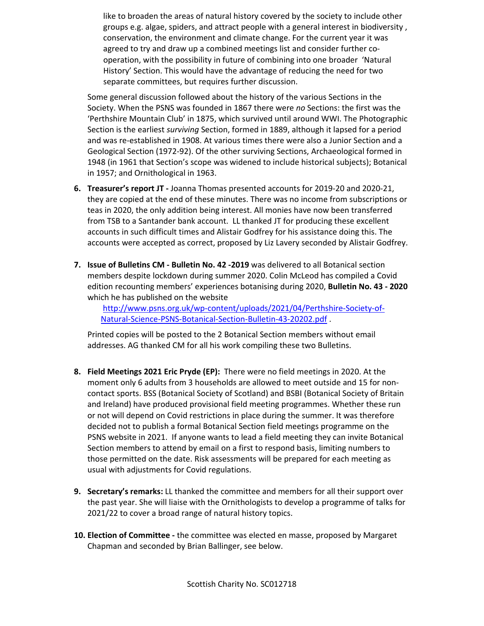like to broaden the areas of natural history covered by the society to include other groups e.g. algae, spiders, and attract people with a general interest in biodiversity , conservation, the environment and climate change. For the current year it was agreed to try and draw up a combined meetings list and consider further co‐ operation, with the possibility in future of combining into one broader 'Natural History' Section. This would have the advantage of reducing the need for two separate committees, but requires further discussion.

Some general discussion followed about the history of the various Sections in the Society. When the PSNS was founded in 1867 there were *no* Sections: the first was the 'Perthshire Mountain Club' in 1875, which survived until around WWI. The Photographic Section is the earliest *surviving* Section, formed in 1889, although it lapsed for a period and was re‐established in 1908. At various times there were also a Junior Section and a Geological Section (1972‐92). Of the other surviving Sections, Archaeological formed in 1948 (in 1961 that Section's scope was widened to include historical subjects); Botanical in 1957; and Ornithological in 1963.

- **6. Treasurer's report JT ‐** Joanna Thomas presented accounts for 2019‐20 and 2020‐21, they are copied at the end of these minutes. There was no income from subscriptions or teas in 2020, the only addition being interest. All monies have now been transferred from TSB to a Santander bank account. LL thanked JT for producing these excellent accounts in such difficult times and Alistair Godfrey for his assistance doing this. The accounts were accepted as correct, proposed by Liz Lavery seconded by Alistair Godfrey.
- **7. Issue of Bulletins CM ‐ Bulletin No. 42 ‐2019** was delivered to all Botanical section members despite lockdown during summer 2020. Colin McLeod has compiled a Covid edition recounting members' experiences botanising during 2020, **Bulletin No. 43 ‐ 2020** which he has published on the website

http://www.psns.org.uk/wp-content/uploads/2021/04/Perthshire-Society-of-Natural‐Science‐PSNS‐Botanical‐Section‐Bulletin‐43‐20202.pdf .

Printed copies will be posted to the 2 Botanical Section members without email addresses. AG thanked CM for all his work compiling these two Bulletins.

- **8. Field Meetings 2021 Eric Pryde (EP):** There were no field meetings in 2020. At the moment only 6 adults from 3 households are allowed to meet outside and 15 for non‐ contact sports. BSS (Botanical Society of Scotland) and BSBI (Botanical Society of Britain and Ireland) have produced provisional field meeting programmes. Whether these run or not will depend on Covid restrictions in place during the summer. It was therefore decided not to publish a formal Botanical Section field meetings programme on the PSNS website in 2021. If anyone wants to lead a field meeting they can invite Botanical Section members to attend by email on a first to respond basis, limiting numbers to those permitted on the date. Risk assessments will be prepared for each meeting as usual with adjustments for Covid regulations.
- **9. Secretary's remarks:** LL thanked the committee and members for all their support over the past year. She will liaise with the Ornithologists to develop a programme of talks for 2021/22 to cover a broad range of natural history topics.
- **10. Election of Committee ‐** the committee was elected en masse, proposed by Margaret Chapman and seconded by Brian Ballinger, see below.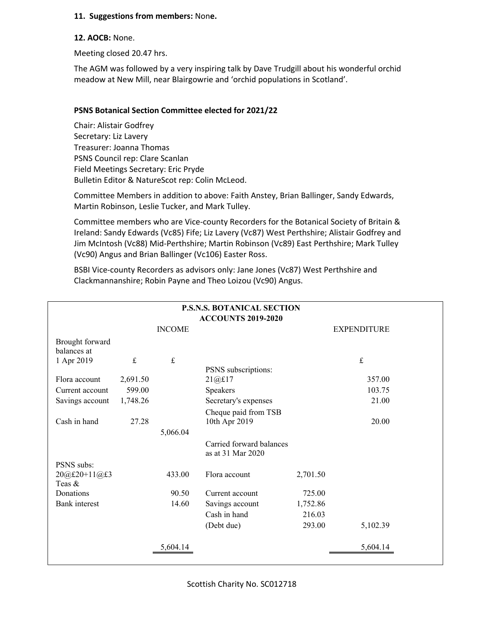#### **11. Suggestions from members:** Non**e.**

#### **12. AOCB:** None.

Meeting closed 20.47 hrs.

The AGM was followed by a very inspiring talk by Dave Trudgill about his wonderful orchid meadow at New Mill, near Blairgowrie and 'orchid populations in Scotland'.

### **PSNS Botanical Section Committee elected for 2021/22**

Chair: Alistair Godfrey Secretary: Liz Lavery Treasurer: Joanna Thomas PSNS Council rep: Clare Scanlan Field Meetings Secretary: Eric Pryde Bulletin Editor & NatureScot rep: Colin McLeod.

Committee Members in addition to above: Faith Anstey, Brian Ballinger, Sandy Edwards, Martin Robinson, Leslie Tucker, and Mark Tulley.

Committee members who are Vice‐county Recorders for the Botanical Society of Britain & Ireland: Sandy Edwards (Vc85) Fife; Liz Lavery (Vc87) West Perthshire; Alistair Godfrey and Jim McIntosh (Vc88) Mid‐Perthshire; Martin Robinson (Vc89) East Perthshire; Mark Tulley (Vc90) Angus and Brian Ballinger (Vc106) Easter Ross.

BSBI Vice-county Recorders as advisors only: Jane Jones (Vc87) West Perthshire and Clackmannanshire; Robin Payne and Theo Loizou (Vc90) Angus.

| <b>P.S.N.S. BOTANICAL SECTION</b> |               |           |                                               |          |                    |  |  |  |  |  |
|-----------------------------------|---------------|-----------|-----------------------------------------------|----------|--------------------|--|--|--|--|--|
| <b>ACCOUNTS 2019-2020</b>         |               |           |                                               |          |                    |  |  |  |  |  |
|                                   | <b>INCOME</b> |           |                                               |          | <b>EXPENDITURE</b> |  |  |  |  |  |
| Brought forward<br>balances at    |               |           |                                               |          |                    |  |  |  |  |  |
| 1 Apr 2019                        | $\pounds$     | $\pounds$ |                                               |          | $\mathbf f$        |  |  |  |  |  |
|                                   |               |           | PSNS subscriptions:                           |          |                    |  |  |  |  |  |
| Flora account                     | 2,691.50      |           | 21@£17                                        |          | 357.00             |  |  |  |  |  |
| Current account                   | 599.00        |           | Speakers                                      |          | 103.75             |  |  |  |  |  |
| Savings account                   | 1,748.26      |           | Secretary's expenses                          |          | 21.00              |  |  |  |  |  |
|                                   |               |           | Cheque paid from TSB                          |          |                    |  |  |  |  |  |
| Cash in hand                      | 27.28         |           | 10th Apr 2019                                 |          | 20.00              |  |  |  |  |  |
|                                   |               | 5,066.04  |                                               |          |                    |  |  |  |  |  |
|                                   |               |           | Carried forward balances<br>as at 31 Mar 2020 |          |                    |  |  |  |  |  |
| PSNS subs:                        |               |           |                                               |          |                    |  |  |  |  |  |
| 20@£20+11@£3<br>Teas &            |               | 433.00    | Flora account                                 | 2,701.50 |                    |  |  |  |  |  |
| Donations                         |               | 90.50     | Current account                               | 725.00   |                    |  |  |  |  |  |
| <b>Bank</b> interest              |               | 14.60     | Savings account                               | 1,752.86 |                    |  |  |  |  |  |
|                                   |               |           |                                               |          |                    |  |  |  |  |  |
|                                   |               |           | Cash in hand                                  | 216.03   |                    |  |  |  |  |  |
|                                   |               |           | (Debt due)                                    | 293.00   | 5,102.39           |  |  |  |  |  |
|                                   |               | 5.604.14  |                                               |          | 5,604.14           |  |  |  |  |  |